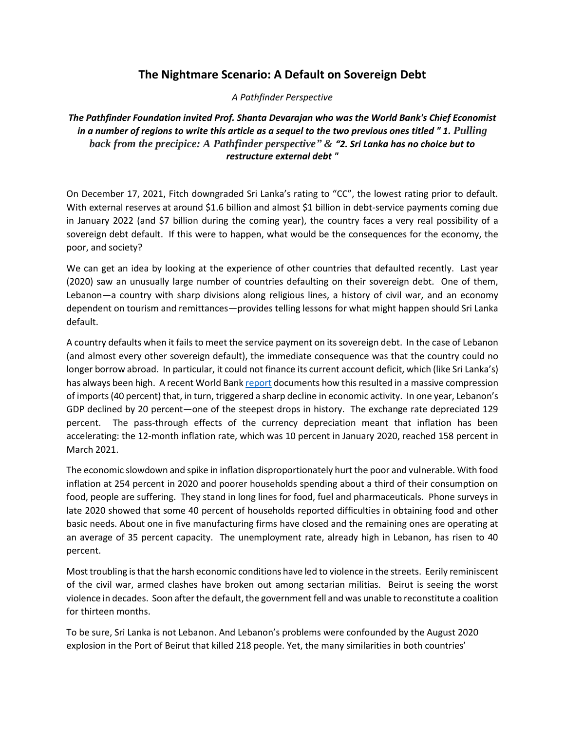## **The Nightmare Scenario: A Default on Sovereign Debt**

*A Pathfinder Perspective*

*The Pathfinder Foundation invited Prof. Shanta Devarajan who was the World Bank's Chief Economist in a number of regions to write this article as a sequel to the two previous ones titled " 1. Pulling back from the precipice: A Pathfinder perspective" & "2. Sri Lanka has no choice but to restructure external debt "*

On December 17, 2021, Fitch downgraded Sri Lanka's rating to "CC", the lowest rating prior to default. With external reserves at around \$1.6 billion and almost \$1 billion in debt-service payments coming due in January 2022 (and \$7 billion during the coming year), the country faces a very real possibility of a sovereign debt default. If this were to happen, what would be the consequences for the economy, the poor, and society?

We can get an idea by looking at the experience of other countries that defaulted recently. Last year (2020) saw an unusually large number of countries defaulting on their sovereign debt. One of them, Lebanon—a country with sharp divisions along religious lines, a history of civil war, and an economy dependent on tourism and remittances—provides telling lessons for what might happen should Sri Lanka default.

A country defaults when it fails to meet the service payment on its sovereign debt. In the case of Lebanon (and almost every other sovereign default), the immediate consequence was that the country could no longer borrow abroad. In particular, it could not finance its current account deficit, which (like Sri Lanka's) has always been high. A recent World Bank [report](https://documents1.worldbank.org/curated/en/394741622469174252/pdf/Lebanon-Economic-Monitor-Lebanon-Sinking-to-the-Top-3.pdf) documents how this resulted in a massive compression of imports (40 percent) that, in turn, triggered a sharp decline in economic activity. In one year, Lebanon's GDP declined by 20 percent—one of the steepest drops in history. The exchange rate depreciated 129 percent. The pass-through effects of the currency depreciation meant that inflation has been accelerating: the 12-month inflation rate, which was 10 percent in January 2020, reached 158 percent in March 2021.

The economic slowdown and spike in inflation disproportionately hurt the poor and vulnerable. With food inflation at 254 percent in 2020 and poorer households spending about a third of their consumption on food, people are suffering. They stand in long lines for food, fuel and pharmaceuticals. Phone surveys in late 2020 showed that some 40 percent of households reported difficulties in obtaining food and other basic needs. About one in five manufacturing firms have closed and the remaining ones are operating at an average of 35 percent capacity. The unemployment rate, already high in Lebanon, has risen to 40 percent.

Most troubling is that the harsh economic conditions have led to violence in the streets. Eerily reminiscent of the civil war, armed clashes have broken out among sectarian militias. Beirut is seeing the worst violence in decades. Soon after the default, the government fell and was unable to reconstitute a coalition for thirteen months.

To be sure, Sri Lanka is not Lebanon. And Lebanon's problems were confounded by the August 2020 explosion in the Port of Beirut that killed 218 people. Yet, the many similarities in both countries'